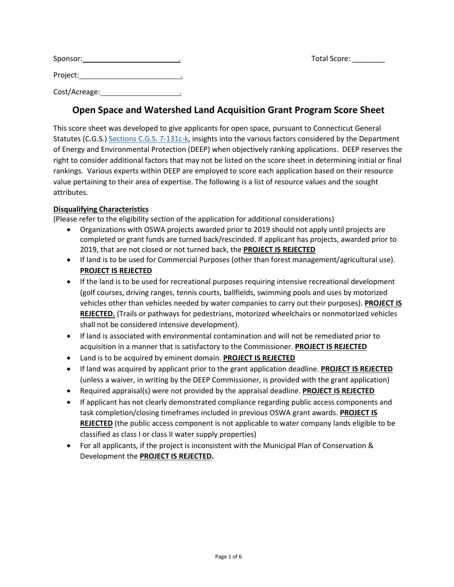| Sponsor:      |  |
|---------------|--|
| Project:      |  |
| Cost/Acreage: |  |

# **Open Space and Watershed Land Acquisition Grant Program Score Sheet**

Sponsor: . Total Score: \_\_\_\_\_\_\_\_

This score sheet was developed to give applicants for open space, pursuant to Connecticut General Statutes (C.G.S.) [Sections C.G.S.](https://www.cga.ct.gov/current/pub/chap_097.htm#sec_7-131) 7-131c-k, insights into the various factors considered by the Department of Energy and Environmental Protection (DEEP) when objectively ranking applications. DEEP reserves the right to consider additional factors that may not be listed on the score sheet in determining initial or final rankings. Various experts within DEEP are employed to score each application based on their resource value pertaining to their area of expertise. The following is a list of resource values and the sought attributes.

# **Disqualifying Characteristics**

(Please refer to the eligibility section of the application for additional considerations)

- Organizations with OSWA projects awarded prior to 2019 should not apply until projects are completed or grant funds are turned back/rescinded. If applicant has projects, awarded prior to 2019, that are not closed or not turned back, the **PROJECT IS REJECTED**
- If land is to be used for Commercial Purposes (other than forest management/agricultural use). **PROJECT IS REJECTED**
- If the land is to be used for recreational purposes requiring intensive recreational development (golf courses, driving ranges, tennis courts, ballfields, swimming pools and uses by motorized vehicles other than vehicles needed by water companies to carry out their purposes). **PROJECT IS REJECTED.** (Trails or pathways for pedestrians, motorized wheelchairs or nonmotorized vehicles shall not be considered intensive development).
- If land is associated with environmental contamination and will not be remediated prior to acquisition in a manner that is satisfactory to the Commissioner. **PROJECT IS REJECTED**
- Land is to be acquired by eminent domain. **PROJECT IS REJECTED**
- If land was acquired by applicant prior to the grant application deadline. **PROJECT IS REJECTED**  (unless a waiver, in writing by the DEEP Commissioner, is provided with the grant application)
- Required appraisal(s) were not provided by the appraisal deadline. **PROJECT IS REJECTED**
- If applicant has not clearly demonstrated compliance regarding public access components and task completion/closing timeframes included in previous OSWA grant awards. **PROJECT IS REJECTED** (the public access component is not applicable to water company lands eligible to be classified as class I or class II water supply properties)
- For all applicants, if the project is inconsistent with the Municipal Plan of Conservation & Development the **PROJECT IS REJECTED.**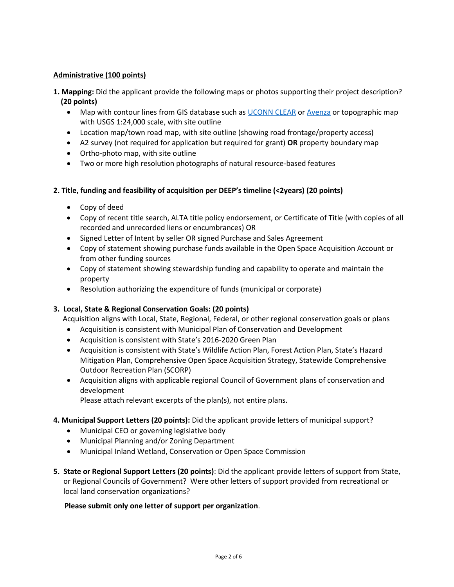# **Administrative (100 points)**

**1. Mapping:** Did the applicant provide the following maps or photos supporting their project description?  **(20 points)**

- Map with contour lines from GIS database such as [UCONN CLEAR](https://cteco.uconn.edu/viewer/index.html?viewer=advanced) or [Avenza](https://www.avenza.com/mapublisher/) or topographic map with USGS 1:24,000 scale, with site outline
- Location map/town road map, with site outline (showing road frontage/property access)
- A2 survey (not required for application but required for grant) **OR** property boundary map
- Ortho-photo map, with site outline
- Two or more high resolution photographs of natural resource-based features

# **2. Title, funding and feasibility of acquisition per DEEP's timeline (<2years) (20 points)**

- Copy of deed
- Copy of recent title search, ALTA title policy endorsement, or Certificate of Title (with copies of all recorded and unrecorded liens or encumbrances) OR
- Signed Letter of Intent by seller OR signed Purchase and Sales Agreement
- Copy of statement showing purchase funds available in the Open Space Acquisition Account or from other funding sources
- Copy of statement showing stewardship funding and capability to operate and maintain the property
- Resolution authorizing the expenditure of funds (municipal or corporate)

#### **3. Local, State & Regional Conservation Goals: (20 points)**

Acquisition aligns with Local, State, Regional, Federal, or other regional conservation goals or plans

- Acquisition is consistent with Municipal Plan of Conservation and Development
- Acquisition is consistent with State's 2016-2020 Green Plan
- Acquisition is consistent with State's Wildlife Action Plan, Forest Action Plan, State's Hazard Mitigation Plan, Comprehensive Open Space Acquisition Strategy, Statewide Comprehensive Outdoor Recreation Plan (SCORP)
- Acquisition aligns with applicable regional Council of Government plans of conservation and development

Please attach relevant excerpts of the plan(s), not entire plans.

#### **4. Municipal Support Letters (20 points):** Did the applicant provide letters of municipal support?

- Municipal CEO or governing legislative body
- Municipal Planning and/or Zoning Department
- Municipal Inland Wetland, Conservation or Open Space Commission
- **5. State or Regional Support Letters (20 points)**: Did the applicant provide letters of support from State, or Regional Councils of Government? Were other letters of support provided from recreational or local land conservation organizations?

#### **Please submit only one letter of support per organization**.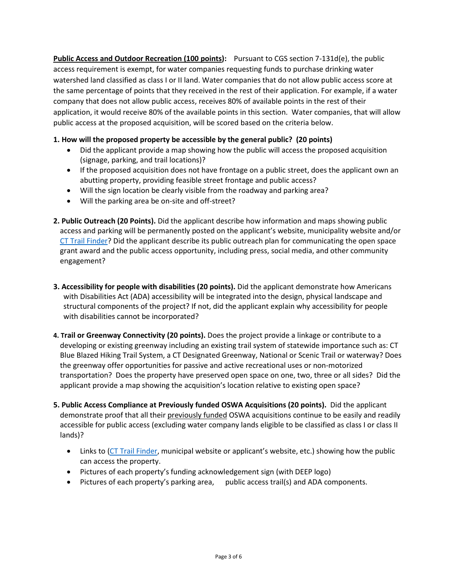**Public Access and Outdoor Recreation (100 points):** Pursuant to CGS section 7-131d(e), the public access requirement is exempt, for water companies requesting funds to purchase drinking water watershed land classified as class I or II land. Water companies that do not allow public access score at the same percentage of points that they received in the rest of their application. For example, if a water company that does not allow public access, receives 80% of available points in the rest of their application, it would receive 80% of the available points in this section. Water companies, that will allow public access at the proposed acquisition, will be scored based on the criteria below.

# **1. How will the proposed property be accessible by the general public? (20 points)**

- Did the applicant provide a map showing how the public will access the proposed acquisition (signage, parking, and trail locations)?
- If the proposed acquisition does not have frontage on a public street, does the applicant own an abutting property, providing feasible street frontage and public access?
- Will the sign location be clearly visible from the roadway and parking area?
- Will the parking area be on-site and off-street?
- **2. Public Outreach (20 Points).** Did the applicant describe how information and maps showing public access and parking will be permanently posted on the applicant's website, municipality website and/or [CT Trail Finder?](https://www.cttrailfinder.com/) Did the applicant describe its public outreach plan for communicating the open space grant award and the public access opportunity, including press, social media, and other community engagement?
- **3. Accessibility for people with disabilities (20 points).** Did the applicant demonstrate how Americans with Disabilities Act (ADA) accessibility will be integrated into the design, physical landscape and structural components of the project? If not, did the applicant explain why accessibility for people with disabilities cannot be incorporated?
- **4. Trail or Greenway Connectivity (20 points).** Does the project provide a linkage or contribute to a developing or existing greenway including an existing trail system of statewide importance such as: CT Blue Blazed Hiking Trail System, a CT Designated Greenway, National or Scenic Trail or waterway? Does the greenway offer opportunities for passive and active recreational uses or non-motorized transportation? Does the property have preserved open space on one, two, three or all sides? Did the applicant provide a map showing the acquisition's location relative to existing open space?
- **5. Public Access Compliance at Previously funded OSWA Acquisitions (20 points).** Did the applicant demonstrate proof that all their previously funded OSWA acquisitions continue to be easily and readily accessible for public access (excluding water company lands eligible to be classified as class I or class II lands)?
	- Links to [\(CT Trail Finder,](https://www.cttrailfinder.com/) municipal website or applicant's website, etc.) showing how the public can access the property.
	- Pictures of each property's funding acknowledgement sign (with DEEP logo)
	- Pictures of each property's parking area, public access trail(s) and ADA components.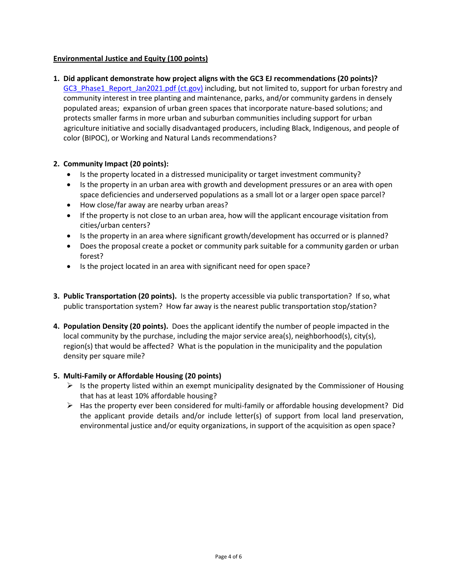# **Environmental Justice and Equity (100 points)**

**1. Did applicant demonstrate how project aligns with the GC3 EJ recommendations (20 points)?**

GC3 Phase1 Report Jan2021.pdf (ct.gov) including, but not limited to, support for urban forestry and community interest in tree planting and maintenance, parks, and/or community gardens in densely populated areas; expansion of urban green spaces that incorporate nature-based solutions; and protects smaller farms in more urban and suburban communities including support for urban agriculture initiative and socially disadvantaged producers, including Black, Indigenous, and people of color (BIPOC), or Working and Natural Lands recommendations?

# **2. Community Impact (20 points):**

- Is the property located in a distressed municipality or target investment community?
- Is the property in an urban area with growth and development pressures or an area with open space deficiencies and underserved populations as a small lot or a larger open space parcel?
- How close/far away are nearby urban areas?
- If the property is not close to an urban area, how will the applicant encourage visitation from cities/urban centers?
- Is the property in an area where significant growth/development has occurred or is planned?
- Does the proposal create a pocket or community park suitable for a community garden or urban forest?
- Is the project located in an area with significant need for open space?
- **3. Public Transportation (20 points).** Is the property accessible via public transportation? If so, what public transportation system? How far away is the nearest public transportation stop/station?
- **4. Population Density (20 points).** Does the applicant identify the number of people impacted in the local community by the purchase, including the major service area(s), neighborhood(s), city(s), region(s) that would be affected? What is the population in the municipality and the population density per square mile?

#### **5. Multi-Family or Affordable Housing (20 points)**

- $\triangleright$  Is the property listed within an exempt municipality designated by the Commissioner of Housing that has at least 10% affordable housing?
- $\triangleright$  Has the property ever been considered for multi-family or affordable housing development? Did the applicant provide details and/or include letter(s) of support from local land preservation, environmental justice and/or equity organizations, in support of the acquisition as open space?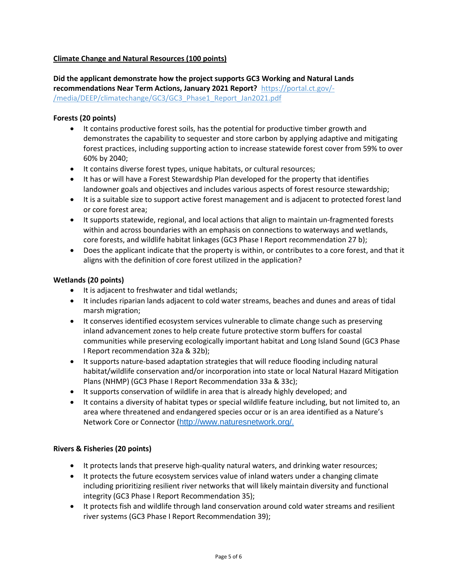# **Climate Change and Natural Resources (100 points)**

**Did the applicant demonstrate how the project supports GC3 Working and Natural Lands recommendations Near Term Actions, January 2021 Report?** https://portal.ct.gov/- /media/DEEP/climatechange/GC3/GC3\_Phase1\_Report\_Jan2021.pdf

#### **Forests (20 points)**

- It contains productive forest soils, has the potential for productive timber growth and demonstrates the capability to sequester and store carbon by applying adaptive and mitigating forest practices, including supporting action to increase statewide forest cover from 59% to over 60% by 2040;
- It contains diverse forest types, unique habitats, or cultural resources;
- It has or will have a Forest Stewardship Plan developed for the property that identifies landowner goals and objectives and includes various aspects of forest resource stewardship;
- It is a suitable size to support active forest management and is adjacent to protected forest land or core forest area;
- It supports statewide, regional, and local actions that align to maintain un-fragmented forests within and across boundaries with an emphasis on connections to waterways and wetlands, core forests, and wildlife habitat linkages (GC3 Phase I Report recommendation 27 b);
- Does the applicant indicate that the property is within, or contributes to a core forest, and that it aligns with the definition of core forest utilized in the application?

#### **Wetlands (20 points)**

- It is adjacent to freshwater and tidal wetlands;
- It includes riparian lands adjacent to cold water streams, beaches and dunes and areas of tidal marsh migration;
- It conserves identified ecosystem services vulnerable to climate change such as preserving inland advancement zones to help create future protective storm buffers for coastal communities while preserving ecologically important habitat and Long Island Sound (GC3 Phase I Report recommendation 32a & 32b);
- It supports nature-based adaptation strategies that will reduce flooding including natural habitat/wildlife conservation and/or incorporation into state or local Natural Hazard Mitigation Plans (NHMP) (GC3 Phase I Report Recommendation 33a & 33c);
- It supports conservation of wildlife in area that is already highly developed; and
- It contains a diversity of habitat types or special wildlife feature including, but not limited to, an area where threatened and endangered species occur or is an area identified as a Nature's Network Core or Connector ([http://www.naturesnetwork.org/.](http://www.naturesnetwork.org/)

#### **Rivers & Fisheries (20 points)**

- It protects lands that preserve high-quality natural waters, and drinking water resources;
- It protects the future ecosystem services value of inland waters under a changing climate including prioritizing resilient river networks that will likely maintain diversity and functional integrity (GC3 Phase I Report Recommendation 35);
- It protects fish and wildlife through land conservation around cold water streams and resilient river systems (GC3 Phase I Report Recommendation 39);